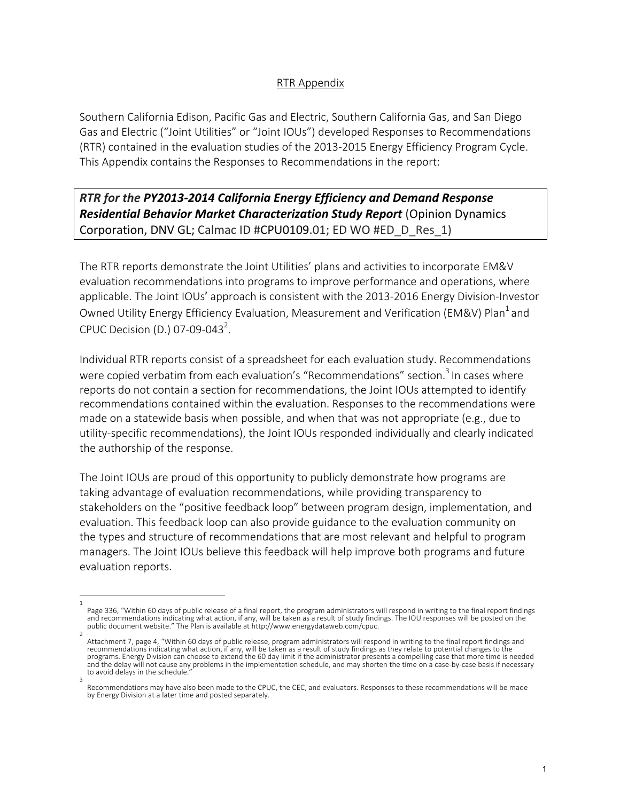## RTR Appendix

Southern California Edison, Pacific Gas and Electric, Southern California Gas, and San Diego Gas and Electric ("Joint Utilities" or "Joint IOUs") developed Responses to Recommendations (RTR) contained in the evaluation studies of the 2013-2015 Energy Efficiency Program Cycle. This Appendix contains the Responses to Recommendations in the report:

**RTR** for the PY2013-2014 California Energy Efficiency and Demand Response **Residential Behavior Market Characterization Study Report** (Opinion Dynamics Corporation, DNV GL; Calmac ID #CPU0109.01; ED WO #ED D Res\_1)

The RTR reports demonstrate the Joint Utilities' plans and activities to incorporate EM&V evaluation recommendations into programs to improve performance and operations, where applicable. The Joint IOUs' approach is consistent with the 2013-2016 Energy Division-Investor Owned Utility Energy Efficiency Evaluation, Measurement and Verification (EM&V) Plan<sup>1</sup> and CPUC Decision (D.) 07-09-043<sup>2</sup>.

Individual RTR reports consist of a spreadsheet for each evaluation study. Recommendations were copied verbatim from each evaluation's "Recommendations" section.<sup>3</sup> In cases where reports do not contain a section for recommendations, the Joint IOUs attempted to identify recommendations contained within the evaluation. Responses to the recommendations were made on a statewide basis when possible, and when that was not appropriate (e.g., due to utility-specific recommendations), the Joint IOUs responded individually and clearly indicated the authorship of the response.

The Joint IOUs are proud of this opportunity to publicly demonstrate how programs are taking advantage of evaluation recommendations, while providing transparency to stakeholders on the "positive feedback loop" between program design, implementation, and evaluation. This feedback loop can also provide guidance to the evaluation community on the types and structure of recommendations that are most relevant and helpful to program managers. The Joint IOUs believe this feedback will help improve both programs and future evaluation reports.

<sup>1</sup>  Page 336, "Within 60 days of public release of a final report, the program administrators will respond in writing to the final report findings and recommendations indicating what action, if any, will be taken as a result of study findings. The IOU responses will be posted on the<br>public document website." The Plan is available at http://www.energydataweb.com/cpuc.

<sup>2</sup>  Attachment 7, page 4, "Within 60 days of public release, program administrators will respond in writing to the final report findings and recommendations indicating what action, if any, will be taken as a result of study findings as they relate to potential changes to the programs. Energy Division can choose to extend the 60 day limit if the administrator presents a compelling case that more time is needed and the delay will not cause any problems in the implementation schedule, and may shorten the time on a case-by-case basis if necessary to avoid delays in the schedule

<sup>3</sup>  Recommendations may have also been made to the CPUC, the CEC, and evaluators. Responses to these recommendations will be made by Energy Division at a later time and posted separately.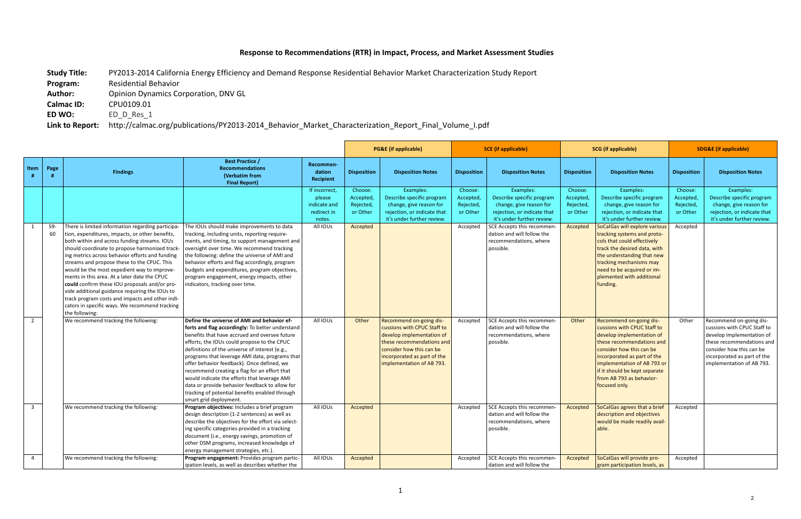## Response to Recommendations (RTR) in Impact, Process, and Market Assessment Studies

Study Title: PY2013-2014 California Energy Efficiency and Demand Response Residential Behavior Market Characterization Study Report

**Program:** Residential Behavior

Author: Opinion Dynamics Corporation, DNV GL

**Calmac ID: CPU0109.01** 

**ED WO:** ED\_D\_Res\_1

Link to Report: http://calmac.org/publications/PY2013-2014\_Behavior\_Market\_Characterization\_Report\_Final\_Volume\_I.pdf

|                                           |           |                                                                                                                                                                                                                                                                                                                                                                                                                                                                                                                                                                                                                                   |                                                                                                                                                                                                                                                                                                                                                                                                                                                                                                                                                                                                                                                                                  |                                                                             |                                                           | <b>PG&amp;E</b> (if applicable)                                                                                                                                                                          |                                                           | <b>SCE</b> (if applicable)                                                                                                                                                                                                               | <b>SCG</b> (if applicable)                                |                                                                                                                                                                                                                                                                                                                                                                                               | <b>SDG&amp;E (if applicable)</b>                                |                                                                                                                                                                                                          |
|-------------------------------------------|-----------|-----------------------------------------------------------------------------------------------------------------------------------------------------------------------------------------------------------------------------------------------------------------------------------------------------------------------------------------------------------------------------------------------------------------------------------------------------------------------------------------------------------------------------------------------------------------------------------------------------------------------------------|----------------------------------------------------------------------------------------------------------------------------------------------------------------------------------------------------------------------------------------------------------------------------------------------------------------------------------------------------------------------------------------------------------------------------------------------------------------------------------------------------------------------------------------------------------------------------------------------------------------------------------------------------------------------------------|-----------------------------------------------------------------------------|-----------------------------------------------------------|----------------------------------------------------------------------------------------------------------------------------------------------------------------------------------------------------------|-----------------------------------------------------------|------------------------------------------------------------------------------------------------------------------------------------------------------------------------------------------------------------------------------------------|-----------------------------------------------------------|-----------------------------------------------------------------------------------------------------------------------------------------------------------------------------------------------------------------------------------------------------------------------------------------------------------------------------------------------------------------------------------------------|-----------------------------------------------------------------|----------------------------------------------------------------------------------------------------------------------------------------------------------------------------------------------------------|
| Item                                      | Page      | <b>Findings</b>                                                                                                                                                                                                                                                                                                                                                                                                                                                                                                                                                                                                                   | <b>Best Practice /</b><br><b>Recommendations</b><br>(Verbatim from<br><b>Final Report)</b>                                                                                                                                                                                                                                                                                                                                                                                                                                                                                                                                                                                       | Recommen-<br>dation<br><b>Recipient</b>                                     | <b>Disposition</b>                                        | <b>Disposition Notes</b>                                                                                                                                                                                 | <b>Disposition</b>                                        | <b>Disposition Notes</b>                                                                                                                                                                                                                 | <b>Disposition</b>                                        | <b>Disposition Notes</b>                                                                                                                                                                                                                                                                                                                                                                      | <b>Disposition</b>                                              | <b>Disposition Notes</b>                                                                                                                                                                                 |
| 1                                         | 59-<br>60 | There is limited information regarding participa-<br>tion, expenditures, impacts, or other benefits,<br>both within and across funding streams. IOUs<br>should coordinate to propose harmonized track-<br>ing metrics across behavior efforts and funding<br>streams and propose these to the CPUC. This<br>would be the most expedient way to improve-<br>ments in this area. At a later date the CPUC<br>could confirm these IOU proposals and/or pro-<br>vide additional guidance requiring the IOUs to<br>track program costs and impacts and other indi-<br>cators in specific ways. We recommend tracking<br>the following: | The IOUs should make improvements to data<br>tracking, including units, reporting require-<br>ments, and timing, to support management and<br>oversight over time. We recommend tracking<br>the following: define the universe of AMI and<br>behavior efforts and flag accordingly, program<br>budgets and expenditures, program objectives,<br>program engagement, energy impacts, other<br>indicators, tracking over time.                                                                                                                                                                                                                                                     | If incorrect<br>please<br>indicate and<br>redirect in<br>notes.<br>All IOUs | Choose:<br>Accepted,<br>Rejected,<br>or Other<br>Accepted | Examples:<br>Describe specific program<br>change, give reason for<br>rejection, or indicate that<br>it's under further review.                                                                           | Choose:<br>Accepted,<br>Rejected,<br>or Other<br>Accepted | Examples:<br>Describe specific program<br>change, give reason for<br>rejection, or indicate that<br>it's under further review.<br><b>SCE Accepts this recommen-</b><br>dation and will follow the<br>recommendations, where<br>possible. | Choose:<br>Accepted,<br>Rejected,<br>or Other<br>Accepted | Examples:<br>Describe specific program<br>change, give reason for<br>rejection, or indicate that<br>it's under further review.<br>SoCalGas will explore various<br>tracking systems and proto-<br>cols that could effectively<br>track the desired data, with<br>the understanding that new<br>tracking mechanisms may<br>need to be acquired or im-<br>plemented with additional<br>funding. | Choose:<br><b>Accepted</b><br>Rejected,<br>or Other<br>Accepted | Examples:<br>Describe specific program<br>change, give reason for<br>rejection, or indicate that<br>it's under further review.                                                                           |
| $\overline{2}$<br>$\overline{\mathbf{3}}$ |           | We recommend tracking the following:<br>We recommend tracking the following:                                                                                                                                                                                                                                                                                                                                                                                                                                                                                                                                                      | Define the universe of AMI and behavior ef-<br>forts and flag accordingly: To better understand<br>benefits that have accrued and oversee future<br>efforts, the IOUs could propose to the CPUC<br>definitions of the universe of interest (e.g.,<br>programs that leverage AMI data, programs that<br>offer behavior feedback). Once defined, we<br>recommend creating a flag for an effort that<br>would indicate the efforts that leverage AMI<br>data or provide behavior feedback to allow for<br>tracking of potential benefits enabled through<br>smart grid deployment.<br>Program objectives: Includes a brief program<br>design description (1-2 sentences) as well as | All IOUs<br>All IOUs                                                        | Other<br>Accepted                                         | Recommend on-going dis-<br>cussions with CPUC Staff to<br>develop implementation of<br>these recommendations and<br>consider how this can be<br>incorporated as part of the<br>implementation of AB 793. | Accepted<br>Accepted                                      | SCE Accepts this recommen-<br>dation and will follow the<br>recommendations, where<br>possible.<br>SCE Accepts this recommen-<br>dation and will follow the                                                                              | Other<br>Accepted                                         | Recommend on-going dis-<br>cussions with CPUC Staff to<br>develop implementation of<br>these recommendations and<br>consider how this can be<br>incorporated as part of the<br>implementation of AB 793 or<br>if it should be kept separate<br>from AB 793 as behavior-<br>focused only.<br>SoCalGas agrees that a brief<br>description and objectives                                        | Other<br>Accepted                                               | Recommend on-going dis-<br>cussions with CPUC Staff to<br>develop implementation of<br>these recommendations and<br>consider how this can be<br>incorporated as part of the<br>implementation of AB 793. |
| $\overline{4}$                            |           | We recommend tracking the following:                                                                                                                                                                                                                                                                                                                                                                                                                                                                                                                                                                                              | describe the objectives for the effort via select-<br>ing specific categories provided in a tracking<br>document (i.e., energy savings, promotion of<br>other DSM programs, increased knowledge of<br>energy management strategies, etc.).<br>Program engagement: Provides program partic-<br>ipation levels, as well as describes whether the                                                                                                                                                                                                                                                                                                                                   | All IOUs                                                                    | Accepted                                                  |                                                                                                                                                                                                          | Accepted                                                  | recommendations, where<br>possible.<br>SCE Accepts this recommen-<br>dation and will follow the                                                                                                                                          | Accepted                                                  | would be made readily avail-<br>able.<br>SoCalGas will provide pro-<br>gram participation levels, as                                                                                                                                                                                                                                                                                          | Accepted                                                        |                                                                                                                                                                                                          |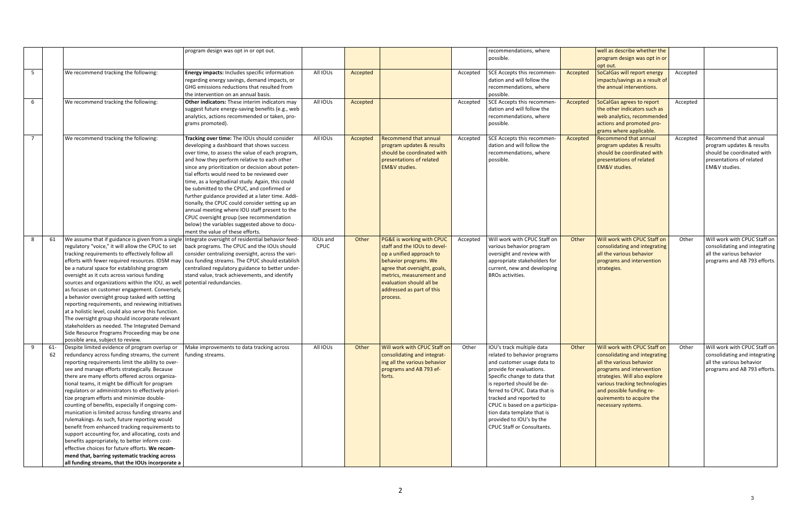|                |     |                                                                                                     | program design was opt in or opt out.             |          |          |                              |          | recommendations, where        |          | well as describe whether the   |          |                               |
|----------------|-----|-----------------------------------------------------------------------------------------------------|---------------------------------------------------|----------|----------|------------------------------|----------|-------------------------------|----------|--------------------------------|----------|-------------------------------|
|                |     |                                                                                                     |                                                   |          |          |                              |          | possible.                     |          | program design was opt in or   |          |                               |
|                |     |                                                                                                     |                                                   |          |          |                              |          |                               |          | opt out.                       |          |                               |
| 5              |     | We recommend tracking the following:                                                                | Energy impacts: Includes specific information     | All IOUs | Accepted |                              | Accepted | SCE Accepts this recommen-    | Accepted | SoCalGas will report energy    | Accepted |                               |
|                |     |                                                                                                     | regarding energy savings, demand impacts, or      |          |          |                              |          | dation and will follow the    |          | impacts/savings as a result of |          |                               |
|                |     |                                                                                                     | GHG emissions reductions that resulted from       |          |          |                              |          | recommendations, where        |          | the annual interventions.      |          |                               |
|                |     |                                                                                                     | the intervention on an annual basis.              |          |          |                              |          | possible.                     |          |                                |          |                               |
| 6              |     | We recommend tracking the following:                                                                | Other indicators: These interim indicators may    | All IOUs | Accepted |                              | Accepted | SCE Accepts this recommen-    | Accepted | SoCalGas agrees to report      | Accepted |                               |
|                |     |                                                                                                     | suggest future energy-saving benefits (e.g., web  |          |          |                              |          | dation and will follow the    |          | the other indicators such as   |          |                               |
|                |     |                                                                                                     | analytics, actions recommended or taken, pro-     |          |          |                              |          | recommendations, where        |          | web analytics, recommended     |          |                               |
|                |     |                                                                                                     | grams promoted).                                  |          |          |                              |          | possible.                     |          | actions and promoted pro-      |          |                               |
|                |     |                                                                                                     |                                                   |          |          |                              |          |                               |          | grams where applicable.        |          |                               |
| $\overline{7}$ |     | We recommend tracking the following:                                                                | Tracking over time: The IOUs should consider      | All IOUs | Accepted | <b>Recommend that annual</b> |          | SCE Accepts this recommen-    | Accepted | Recommend that annual          | Accepted | Recommend that annual         |
|                |     |                                                                                                     |                                                   |          |          |                              | Accepted |                               |          |                                |          |                               |
|                |     |                                                                                                     | developing a dashboard that shows success         |          |          | program updates & results    |          | dation and will follow the    |          | program updates & results      |          | program updates & results     |
|                |     |                                                                                                     | over time, to assess the value of each program,   |          |          | should be coordinated with   |          | recommendations, where        |          | should be coordinated with     |          | should be coordinated with    |
|                |     |                                                                                                     | and how they perform relative to each other       |          |          | presentations of related     |          | possible.                     |          | presentations of related       |          | presentations of related      |
|                |     |                                                                                                     | since any prioritization or decision about poten- |          |          | <b>EM&amp;V</b> studies.     |          |                               |          | <b>EM&amp;V</b> studies.       |          | EM&V studies.                 |
|                |     |                                                                                                     | tial efforts would need to be reviewed over       |          |          |                              |          |                               |          |                                |          |                               |
|                |     |                                                                                                     | time, as a longitudinal study. Again, this could  |          |          |                              |          |                               |          |                                |          |                               |
|                |     |                                                                                                     | be submitted to the CPUC, and confirmed or        |          |          |                              |          |                               |          |                                |          |                               |
|                |     |                                                                                                     | further guidance provided at a later time. Addi-  |          |          |                              |          |                               |          |                                |          |                               |
|                |     |                                                                                                     | tionally, the CPUC could consider setting up an   |          |          |                              |          |                               |          |                                |          |                               |
|                |     |                                                                                                     | annual meeting where IOU staff present to the     |          |          |                              |          |                               |          |                                |          |                               |
|                |     |                                                                                                     |                                                   |          |          |                              |          |                               |          |                                |          |                               |
|                |     |                                                                                                     | CPUC oversight group (see recommendation          |          |          |                              |          |                               |          |                                |          |                               |
|                |     |                                                                                                     | below) the variables suggested above to docu-     |          |          |                              |          |                               |          |                                |          |                               |
|                |     |                                                                                                     | ment the value of these efforts.                  |          |          |                              |          |                               |          |                                |          |                               |
| 8              | 61  | We assume that if guidance is given from a single Integrate oversight of residential behavior feed- |                                                   | IOUs and | Other    | PG&E is working with CPUC    | Accepted | Will work with CPUC Staff on  | Other    | Will work with CPUC Staff on   | Other    | Will work with CPUC Staff on  |
|                |     | regulatory "voice," it will allow the CPUC to set                                                   | back programs. The CPUC and the IOUs should       | CPUC     |          | staff and the IOUs to devel- |          | various behavior program      |          | consolidating and integrating  |          | consolidating and integrating |
|                |     | tracking requirements to effectively follow all                                                     | consider centralizing oversight, across the vari- |          |          | op a unified approach to     |          | oversight and review with     |          | all the various behavior       |          | all the various behavior      |
|                |     | efforts with fewer required resources. IDSM may                                                     | ous funding streams. The CPUC should establish    |          |          | behavior programs. We        |          | appropriate stakeholders for  |          | programs and intervention      |          | programs and AB 793 efforts.  |
|                |     | be a natural space for establishing program                                                         | centralized regulatory guidance to better under-  |          |          | agree that oversight, goals, |          | current, new and developing   |          | strategies.                    |          |                               |
|                |     | oversight as it cuts across various funding                                                         | stand value, track achievements, and identify     |          |          | metrics, measurement and     |          | <b>BROs activities.</b>       |          |                                |          |                               |
|                |     | sources and organizations within the IOU, as well                                                   | potential redundancies.                           |          |          | evaluation should all be     |          |                               |          |                                |          |                               |
|                |     | as focuses on customer engagement. Conversely,                                                      |                                                   |          |          | addressed as part of this    |          |                               |          |                                |          |                               |
|                |     |                                                                                                     |                                                   |          |          |                              |          |                               |          |                                |          |                               |
|                |     | a behavior oversight group tasked with setting                                                      |                                                   |          |          | process.                     |          |                               |          |                                |          |                               |
|                |     | reporting requirements, and reviewing initiatives                                                   |                                                   |          |          |                              |          |                               |          |                                |          |                               |
|                |     | at a holistic level, could also serve this function.                                                |                                                   |          |          |                              |          |                               |          |                                |          |                               |
|                |     | The oversight group should incorporate relevant                                                     |                                                   |          |          |                              |          |                               |          |                                |          |                               |
|                |     | stakeholders as needed. The Integrated Demand                                                       |                                                   |          |          |                              |          |                               |          |                                |          |                               |
|                |     | Side Resource Programs Proceeding may be one                                                        |                                                   |          |          |                              |          |                               |          |                                |          |                               |
|                |     | possible area, subject to review.                                                                   |                                                   |          |          |                              |          |                               |          |                                |          |                               |
| 9              | 61- | Despite limited evidence of program overlap or                                                      | Make improvements to data tracking across         | All IOUs | Other    | Will work with CPUC Staff on | Other    | IOU's track multiple data     | Other    | Will work with CPUC Staff on   | Other    | Will work with CPUC Staff on  |
|                | 62  | redundancy across funding streams, the current                                                      | funding streams.                                  |          |          | consolidating and integrat-  |          | related to behavior programs  |          | consolidating and integrating  |          | consolidating and integrating |
|                |     | reporting requirements limit the ability to over-                                                   |                                                   |          |          | ing all the various behavior |          | and customer usage data to    |          | all the various behavior       |          | all the various behavior      |
|                |     | see and manage efforts strategically. Because                                                       |                                                   |          |          | programs and AB 793 ef-      |          | provide for evaluations.      |          | programs and intervention      |          | programs and AB 793 efforts.  |
|                |     |                                                                                                     |                                                   |          |          |                              |          |                               |          |                                |          |                               |
|                |     | there are many efforts offered across organiza-                                                     |                                                   |          |          | forts.                       |          | Specific change to data that  |          | strategies. Will also explore  |          |                               |
|                |     | tional teams, it might be difficult for program                                                     |                                                   |          |          |                              |          | is reported should be de-     |          | various tracking technologies  |          |                               |
|                |     | regulators or administrators to effectively priori-                                                 |                                                   |          |          |                              |          | ferred to CPUC. Data that is  |          | and possible funding re-       |          |                               |
|                |     | tize program efforts and minimize double-                                                           |                                                   |          |          |                              |          | tracked and reported to       |          | quirements to acquire the      |          |                               |
|                |     | counting of benefits, especially if ongoing com-                                                    |                                                   |          |          |                              |          | CPUC is based on a participa- |          | necessary systems.             |          |                               |
|                |     | munication is limited across funding streams and                                                    |                                                   |          |          |                              |          | tion data template that is    |          |                                |          |                               |
|                |     | rulemakings. As such, future reporting would                                                        |                                                   |          |          |                              |          | provided to IOU's by the      |          |                                |          |                               |
|                |     | benefit from enhanced tracking requirements to                                                      |                                                   |          |          |                              |          | CPUC Staff or Consultants.    |          |                                |          |                               |
|                |     | support accounting for, and allocating, costs and                                                   |                                                   |          |          |                              |          |                               |          |                                |          |                               |
|                |     | benefits appropriately, to better inform cost-                                                      |                                                   |          |          |                              |          |                               |          |                                |          |                               |
|                |     | effective choices for future efforts. We recom-                                                     |                                                   |          |          |                              |          |                               |          |                                |          |                               |
|                |     |                                                                                                     |                                                   |          |          |                              |          |                               |          |                                |          |                               |
|                |     | mend that, barring systematic tracking across                                                       |                                                   |          |          |                              |          |                               |          |                                |          |                               |
|                |     | all funding streams, that the IOUs incorporate a                                                    |                                                   |          |          |                              |          |                               |          |                                |          |                               |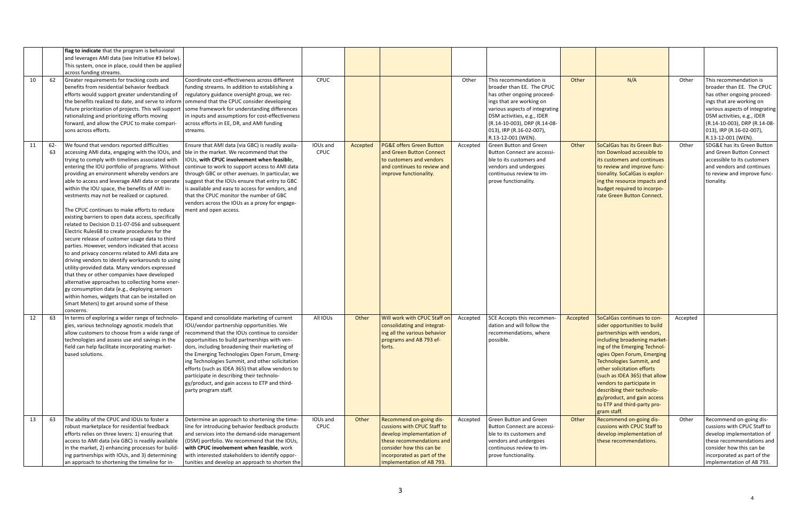|    |           | flag to indicate that the program is behavioral<br>and leverages AMI data (see Initiative #3 below).<br>This system, once in place, could then be applied<br>across funding streams.                                                                                                                                                                                                                                                                                                                                                                                                                                                                                                                                                                                                                                                                                                                                                                                                                                                                                                                                                                                                   |                                                                                                                                                                                                                                                                                                                                                                                                                                                                                                                        |                         |          |                                                                                                                                                                                                          |          |                                                                                                                                                                                                                                                                 |          |                                                                                                                                                                                                                                                                                                                                                                                                                           |          |                                                                                                                                                                                                                                                                 |
|----|-----------|----------------------------------------------------------------------------------------------------------------------------------------------------------------------------------------------------------------------------------------------------------------------------------------------------------------------------------------------------------------------------------------------------------------------------------------------------------------------------------------------------------------------------------------------------------------------------------------------------------------------------------------------------------------------------------------------------------------------------------------------------------------------------------------------------------------------------------------------------------------------------------------------------------------------------------------------------------------------------------------------------------------------------------------------------------------------------------------------------------------------------------------------------------------------------------------|------------------------------------------------------------------------------------------------------------------------------------------------------------------------------------------------------------------------------------------------------------------------------------------------------------------------------------------------------------------------------------------------------------------------------------------------------------------------------------------------------------------------|-------------------------|----------|----------------------------------------------------------------------------------------------------------------------------------------------------------------------------------------------------------|----------|-----------------------------------------------------------------------------------------------------------------------------------------------------------------------------------------------------------------------------------------------------------------|----------|---------------------------------------------------------------------------------------------------------------------------------------------------------------------------------------------------------------------------------------------------------------------------------------------------------------------------------------------------------------------------------------------------------------------------|----------|-----------------------------------------------------------------------------------------------------------------------------------------------------------------------------------------------------------------------------------------------------------------|
| 10 | 62        | Greater requirements for tracking costs and<br>benefits from residential behavior feedback<br>efforts would support greater understanding of<br>the benefits realized to date, and serve to inform<br>future prioritization of projects. This will support<br>rationalizing and prioritizing efforts moving<br>forward, and allow the CPUC to make compari-<br>sons across efforts.                                                                                                                                                                                                                                                                                                                                                                                                                                                                                                                                                                                                                                                                                                                                                                                                    | Coordinate cost-effectiveness across different<br>funding streams. In addition to establishing a<br>regulatory guidance oversight group, we rec-<br>ommend that the CPUC consider developing<br>some framework for understanding differences<br>in inputs and assumptions for cost-effectiveness<br>across efforts in EE, DR, and AMI funding<br>streams.                                                                                                                                                              | CPUC                    |          |                                                                                                                                                                                                          | Other    | This recommendation is<br>broader than EE. The CPUC<br>has other ongoing proceed-<br>ings that are working on<br>various aspects of integrating<br>DSM activities, e.g., IDER<br>(R.14-10-003), DRP (R.14-08-<br>013), IRP (R.16-02-007),<br>R.13-12-001 (WEN). | Other    | N/A                                                                                                                                                                                                                                                                                                                                                                                                                       | Other    | This recommendation is<br>broader than EE. The CPUC<br>has other ongoing proceed-<br>ings that are working on<br>various aspects of integrating<br>DSM activities, e.g., IDER<br>(R.14-10-003), DRP (R.14-08-<br>013), IRP (R.16-02-007),<br>R.13-12-001 (WEN). |
| 11 | 62-<br>63 | We found that vendors reported difficulties<br>accessing AMI data, engaging with the IOUs, and   ble in the market. We recommend that the<br>trying to comply with timelines associated with<br>entering the IOU portfolio of programs. Without<br>providing an environment whereby vendors are<br>able to access and leverage AMI data or operate<br>within the IOU space, the benefits of AMI in-<br>vestments may not be realized or captured.<br>The CPUC continues to make efforts to reduce<br>existing barriers to open data access, specifically<br>related to Decision D.11-07-056 and subsequent<br>Electric Rules68 to create procedures for the<br>secure release of customer usage data to third<br>parties. However, vendors indicated that access<br>to and privacy concerns related to AMI data are<br>driving vendors to identify workarounds to using<br>utility-provided data. Many vendors expressed<br>that they or other companies have developed<br>alternative approaches to collecting home ener-<br>gy consumption data (e.g., deploying sensors<br>within homes, widgets that can be installed on<br>Smart Meters) to get around some of these<br>concerns. | Ensure that AMI data (via GBC) is readily availa-<br>IOUs, with CPUC involvement when feasible,<br>continue to work to support access to AMI data<br>through GBC or other avenues. In particular, we<br>suggest that the IOUs ensure that entry to GBC<br>is available and easy to access for vendors, and<br>that the CPUC monitor the number of GBC<br>vendors across the IOUs as a proxy for engage-<br>ment and open access.                                                                                       | IOUs and<br><b>CPUC</b> | Accepted | <b>PG&amp;E offers Green Button</b><br>and Green Button Connect<br>to customers and vendors<br>and continues to review and<br>improve functionality.                                                     | Accepted | <b>Green Button and Green</b><br><b>Button Connect are accessi-</b><br>ble to its customers and<br>vendors and undergoes<br>continuous review to im-<br>prove functionality.                                                                                    | Other    | SoCalGas has its Green But-<br>ton Download accessible to<br>its customers and continues<br>to review and improve func-<br>tionality. SoCalGas is explor-<br>ing the resource impacts and<br>budget required to incorpo-<br>rate Green Button Connect.                                                                                                                                                                    | Other    | SDG&E has its Green Button<br>and Green Button Connect<br>accessible to its customers<br>and vendors and continues<br>to review and improve func-<br>tionality.                                                                                                 |
| 12 | 63        | In terms of exploring a wider range of technolo-<br>gies, various technology agnostic models that<br>allow customers to choose from a wide range of<br>technologies and assess use and savings in the<br>field can help facilitate incorporating market-<br>based solutions.                                                                                                                                                                                                                                                                                                                                                                                                                                                                                                                                                                                                                                                                                                                                                                                                                                                                                                           | Expand and consolidate marketing of current<br>IOU/vendor partnership opportunities. We<br>recommend that the IOUs continue to consider<br>opportunities to build partnerships with ven-<br>dors, including broadening their marketing of<br>the Emerging Technologies Open Forum, Emerg-<br>ing Technologies Summit, and other solicitation<br>efforts (such as IDEA 365) that allow vendors to<br>participate in describing their technolo-<br>gy/product, and gain access to ETP and third-<br>party program staff. | All IOUs                | Other    | Will work with CPUC Staff on<br>consolidating and integrat-<br>ing all the various behavior<br>programs and AB 793 ef-<br>forts.                                                                         | Accepted | SCE Accepts this recommen-<br>dation and will follow the<br>recommendations, where<br>possible.                                                                                                                                                                 | Accepted | SoCalGas continues to con-<br>sider opportunities to build<br>partnerships with vendors,<br>including broadening market-<br>ing of the Emerging Technol-<br>ogies Open Forum, Emerging<br>Technologies Summit, and<br>other solicitation efforts<br>(such as IDEA 365) that allow<br>vendors to participate in<br>describing their technolo-<br>gy/product, and gain access<br>to ETP and third-party pro-<br>gram staff. | Accepted |                                                                                                                                                                                                                                                                 |
| 13 | 63        | The ability of the CPUC and IOUs to foster a<br>robust marketplace for residential feedback<br>efforts relies on three levers: 1) ensuring that<br>access to AMI data (via GBC) is readily available<br>in the market, 2) enhancing processes for build-<br>ing partnerships with IOUs, and 3) determining<br>an approach to shortening the timeline for in-                                                                                                                                                                                                                                                                                                                                                                                                                                                                                                                                                                                                                                                                                                                                                                                                                           | Determine an approach to shortening the time-<br>line for introducing behavior feedback products<br>and services into the demand-side management<br>(DSM) portfolio. We recommend that the IOUs,<br>with CPUC involvement when feasible, work<br>with interested stakeholders to identify oppor-<br>tunities and develop an approach to shorten the                                                                                                                                                                    | IOUs and<br><b>CPUC</b> | Other    | Recommend on-going dis-<br>cussions with CPUC Staff to<br>develop implementation of<br>these recommendations and<br>consider how this can be<br>incorporated as part of the<br>implementation of AB 793. | Accepted | <b>Green Button and Green</b><br><b>Button Connect are accessi-</b><br>ble to its customers and<br>vendors and undergoes<br>continuous review to im-<br>prove functionality.                                                                                    | Other    | Recommend on-going dis-<br>cussions with CPUC Staff to<br>develop implementation of<br>these recommendations.                                                                                                                                                                                                                                                                                                             | Other    | Recommend on-going dis-<br>cussions with CPUC Staff to<br>develop implementation of<br>these recommendations and<br>consider how this can be<br>incorporated as part of the<br>implementation of AB 793.                                                        |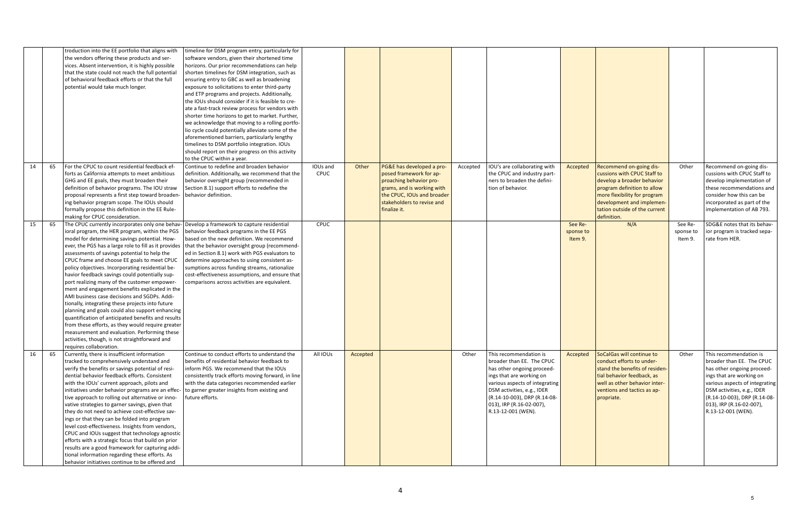|    |    | troduction into the EE portfolio that aligns with<br>the vendors offering these products and ser-<br>vices. Absent intervention, it is highly possible<br>that the state could not reach the full potential<br>of behavioral feedback efforts or that the full<br>potential would take much longer.                                                                                                                                                                                                                                                                                                                                                                                                                                                                                                                                                                                                                                                                                                          | timeline for DSM program entry, particularly for<br>software vendors, given their shortened time<br>horizons. Our prior recommendations can help<br>shorten timelines for DSM integration, such as<br>ensuring entry to GBC as well as broadening<br>exposure to solicitations to enter third-party<br>and ETP programs and projects. Additionally,<br>the IOUs should consider if it is feasible to cre-<br>ate a fast-track review process for vendors with<br>shorter time horizons to get to market. Further,<br>we acknowledge that moving to a rolling portfo-<br>lio cycle could potentially alleviate some of the<br>aforementioned barriers, particularly lengthy<br>timelines to DSM portfolio integration. IOUs<br>should report on their progress on this activity<br>to the CPUC within a year. |                  |          |                                                                                                                                                                                           |          |                                                                                                                                                                                                                                                                 |                                 |                                                                                                                                                                                                                                  |                                 |                                                                                                                                                                                                                                                                 |
|----|----|--------------------------------------------------------------------------------------------------------------------------------------------------------------------------------------------------------------------------------------------------------------------------------------------------------------------------------------------------------------------------------------------------------------------------------------------------------------------------------------------------------------------------------------------------------------------------------------------------------------------------------------------------------------------------------------------------------------------------------------------------------------------------------------------------------------------------------------------------------------------------------------------------------------------------------------------------------------------------------------------------------------|--------------------------------------------------------------------------------------------------------------------------------------------------------------------------------------------------------------------------------------------------------------------------------------------------------------------------------------------------------------------------------------------------------------------------------------------------------------------------------------------------------------------------------------------------------------------------------------------------------------------------------------------------------------------------------------------------------------------------------------------------------------------------------------------------------------|------------------|----------|-------------------------------------------------------------------------------------------------------------------------------------------------------------------------------------------|----------|-----------------------------------------------------------------------------------------------------------------------------------------------------------------------------------------------------------------------------------------------------------------|---------------------------------|----------------------------------------------------------------------------------------------------------------------------------------------------------------------------------------------------------------------------------|---------------------------------|-----------------------------------------------------------------------------------------------------------------------------------------------------------------------------------------------------------------------------------------------------------------|
| 14 | 65 | For the CPUC to count residential feedback ef-<br>forts as California attempts to meet ambitious<br>GHG and EE goals, they must broaden their<br>definition of behavior programs. The IOU straw<br>proposal represents a first step toward broaden-<br>ing behavior program scope. The IOUs should<br>formally propose this definition in the EE Rule-<br>making for CPUC consideration.                                                                                                                                                                                                                                                                                                                                                                                                                                                                                                                                                                                                                     | Continue to redefine and broaden behavior<br>definition. Additionally, we recommend that the<br>behavior oversight group (recommended in<br>Section 8.1) support efforts to redefine the<br>behavior definition.                                                                                                                                                                                                                                                                                                                                                                                                                                                                                                                                                                                             | IOUs and<br>CPUC | Other    | PG&E has developed a pro-<br>posed framework for ap-<br>proaching behavior pro-<br>grams, and is working with<br>the CPUC, IOUs and broader<br>stakeholders to revise and<br>finalize it. | Accepted | IOU's are collaborating with<br>the CPUC and industry part-<br>ners to broaden the defini-<br>tion of behavior.                                                                                                                                                 | Accepted                        | Recommend on-going dis-<br>cussions with CPUC Staff to<br>develop a broader behavior<br>program definition to allow<br>more flexibility for program<br>development and implemen-<br>tation outside of the current<br>definition. | Other                           | Recommend on-going dis-<br>cussions with CPUC Staff to<br>develop implementation of<br>these recommendations and<br>consider how this can be<br>incorporated as part of the<br>implementation of AB 793.                                                        |
| 15 | 65 | The CPUC currently incorporates only one behav- Develop a framework to capture residential<br>ioral program, the HER program, within the PGS<br>model for determining savings potential. How-<br>ever, the PGS has a large role to fill as it provides   that the behavior oversight group (recommend-<br>assessments of savings potential to help the<br>CPUC frame and choose EE goals to meet CPUC<br>policy objectives. Incorporating residential be-<br>havior feedback savings could potentially sup-<br>port realizing many of the customer empower-<br>ment and engagement benefits explicated in the<br>AMI business case decisions and SGDPs. Addi-<br>tionally, integrating these projects into future<br>planning and goals could also support enhancing<br>quantification of anticipated benefits and results<br>from these efforts, as they would require greater<br>measurement and evaluation. Performing these<br>activities, though, is not straightforward and<br>requires collaboration. | behavior feedback programs in the EE PGS<br>based on the new definition. We recommend<br>ed in Section 8.1) work with PGS evaluators to<br>determine approaches to using consistent as-<br>sumptions across funding streams, rationalize<br>cost-effectiveness assumptions, and ensure that<br>comparisons across activities are equivalent.                                                                                                                                                                                                                                                                                                                                                                                                                                                                 | <b>CPUC</b>      |          |                                                                                                                                                                                           |          |                                                                                                                                                                                                                                                                 | See Re-<br>sponse to<br>Item 9. | N/A                                                                                                                                                                                                                              | See Re-<br>sponse to<br>Item 9. | SDG&E notes that its behav-<br>ior program is tracked sepa-<br>rate from HER.                                                                                                                                                                                   |
| 16 | 65 | Currently, there is insufficient information<br>tracked to comprehensively understand and<br>verify the benefits or savings potential of resi-<br>dential behavior feedback efforts. Consistent<br>with the IOUs' current approach, pilots and<br>initiatives under behavior programs are an effec- to garner greater insights from existing and<br>tive approach to rolling out alternative or inno-<br>vative strategies to garner savings, given that<br>they do not need to achieve cost-effective sav-<br>ings or that they can be folded into program<br>level cost-effectiveness. Insights from vendors,<br>CPUC and IOUs suggest that technology agnostic<br>efforts with a strategic focus that build on prior<br>results are a good framework for capturing addi-<br>tional information regarding these efforts. As<br>behavior initiatives continue to be offered and                                                                                                                             | Continue to conduct efforts to understand the<br>benefits of residential behavior feedback to<br>inform PGS. We recommend that the IOUs<br>consistently track efforts moving forward, in line<br>with the data categories recommended earlier<br>future efforts.                                                                                                                                                                                                                                                                                                                                                                                                                                                                                                                                             | All IOUs         | Accepted |                                                                                                                                                                                           | Other    | This recommendation is<br>broader than EE. The CPUC<br>has other ongoing proceed-<br>ings that are working on<br>various aspects of integrating<br>DSM activities, e.g., IDER<br>(R.14-10-003), DRP (R.14-08-<br>013), IRP (R.16-02-007),<br>R.13-12-001 (WEN). | Accepted                        | SoCalGas will continue to<br>conduct efforts to under-<br>stand the benefits of residen-<br>tial behavior feedback, as<br>well as other behavior inter-<br>ventions and tactics as ap-<br>propriate.                             | Other                           | This recommendation is<br>broader than EE. The CPUC<br>has other ongoing proceed-<br>ings that are working on<br>various aspects of integrating<br>DSM activities, e.g., IDER<br>(R.14-10-003), DRP (R.14-08-<br>013), IRP (R.16-02-007),<br>R.13-12-001 (WEN). |